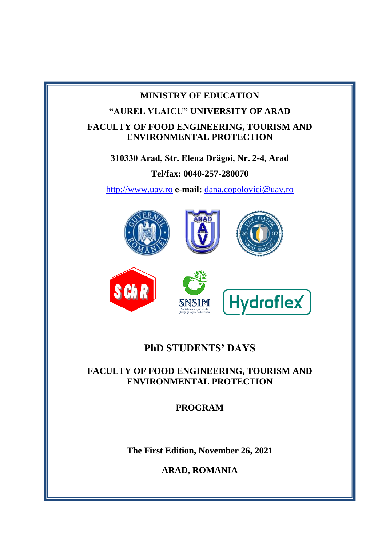# **MINISTRY OF EDUCATION "AUREL VLAICU" UNIVERSITY OF ARAD FACULTY OF FOOD ENGINEERING, TOURISM AND ENVIRONMENTAL PROTECTION 310330 Arad, Str. Elena Drӑgoi, Nr. 2-4, Arad Tel/fax: 0040-257-280070** [http://www.uav.ro](http://www.uav.ro/) **e-mail:** [dana.copolovici@uav.ro](mailto:dana.copolovici@uav.ro) **S** Ch Hydroflex

# **PhD STUDENTS' DAYS**

# **FACULTY OF FOOD ENGINEERING, TOURISM AND ENVIRONMENTAL PROTECTION**

**PROGRAM**

**The First Edition, November 26, 2021**

**ARAD, ROMANIA**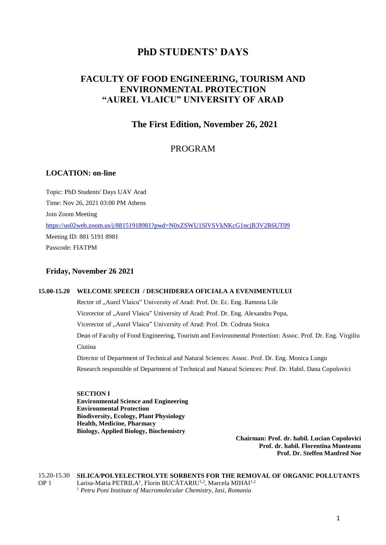## **PhD STUDENTS' DAYS**

## **FACULTY OF FOOD ENGINEERING, TOURISM AND ENVIRONMENTAL PROTECTION "AUREL VLAICU" UNIVERSITY OF ARAD**

**The First Edition, November 26, 2021**

## PROGRAM

## **LOCATION: on-line**

Topic: PhD Students' Days UAV Arad Time: Nov 26, 2021 03:00 PM Athens Join Zoom Meeting <https://us02web.zoom.us/j/88151918981?pwd=N0xZSWU1SlVSVkNKcG1ncjB3V2R6UT09> Meeting ID: 881 5191 8981 Passcode: FIATPM

### **Friday, November 26 2021**

#### **15.00-15.20 WELCOME SPEECH / DESCHIDEREA OFICIALA A EVENIMENTULUI**

Rector of "Aurel Vlaicu" University of Arad: Prof. Dr. Ec. Eng. Ramona Lile Vicerector of "Aurel Vlaicu" University of Arad: Prof. Dr. Eng. Alexandru Popa, Vicerector of "Aurel Vlaicu" University of Arad: Prof. Dr. Codruta Stoica Dean of Faculty of Food Engineering, Tourism and Environmental Protection: Assoc. Prof. Dr. Eng. Virgiliu Ciutina Director of Department of Technical and Natural Sciences: Assoc. Prof. Dr. Eng. Monica Lungu Research responsible of Department of Technical and Natural Sciences: Prof. Dr. Habil. Dana Copolovici

**SECTION I Environmental Science and Engineering Environmental Protection Biodiversity, Ecology, Plant Physiology Health, Medicine, Pharmacy Biology, Applied Biology, Biochemistry**

**Chairman: Prof. dr. habil. Lucian Copolovici Prof. dr. habil. Florentina Munteanu Prof. Dr. Steffen Manfred Noe**

15.20-15.30 OP 1 **SILICA/POLYELECTROLYTE SORBENTS FOR THE REMOVAL OF ORGANIC POLLUTANTS** Larisa-Maria PETRILA<sup>1</sup>, Florin BUCĂTARIU<sup>1,2</sup>, Marcela MIHAI<sup>1,2</sup> *<sup>1</sup> Petru Poni Institute of Macromolecular Chemistry, Iasi, Romania*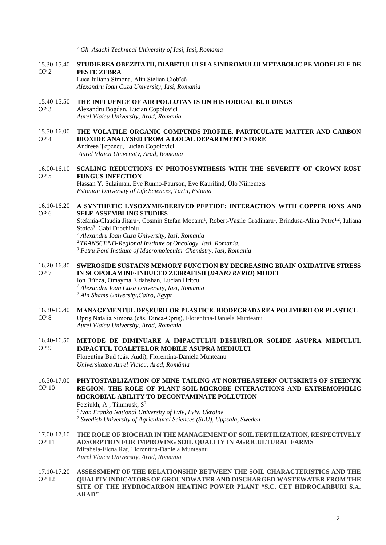*<sup>2</sup> Gh. Asachi Technical University of Iasi, Iasi, Romania*

- 15.30-15.40 **STUDIEREA OBEZITATII, DIABETULUI SI A SINDROMULUI METABOLIC PE MODELELE DE**  OP 2 **PESTE ZEBRA**
	- Luca Iuliana Simona, Alin Stelian Ciobîcă *Alexandru Ioan Cuza University, Iasi, Romania*
- 15.40-15.50 OP 3 **THE INFLUENCE OF AIR POLLUTANTS ON HISTORICAL BUILDINGS** Alexandru Bogdan, Lucian Copolovici
	- *Aurel Vlaicu University, Arad, Romania*
- 15.50-16.00 OP 4 **THE VOLATILE ORGANIC COMPUNDS PROFILE, PARTICULATE MATTER AND CARBON DIOXIDE ANALYSED FROM A LOCAL DEPARTMENT STORE**  Andreea Ţepeneu, Lucian Copolovici

*Aurel Vlaicu University, Arad, Romania*

16.00-16.10 OP 5 **SCALING REDUCTIONS IN PHOTOSYNTHESIS WITH THE SEVERITY OF CROWN RUST FUNGUS INFECTION** Hassan Y. Sulaiman, Eve Runno-Paurson, Eve Kaurilind, Ülo Niinemets *Estonian University of Life Sciences, Tartu, Estonia*

#### 16.10-16.20 OP 6 **A SYNTHETIC LYSOZYME-DERIVED PEPTIDE: INTERACTION WITH COPPER IONS AND SELF-ASSEMBLING STUDIES**

Stefania-Claudia Jitaru<sup>1</sup>, Cosmin Stefan Mocanu<sup>1</sup>, Robert-Vasile Gradinaru<sup>1</sup>, Brindusa-Alina Petre<sup>1,2</sup>, Iuliana Stoica<sup>3</sup>, Gabi Drochioiu<sup>1</sup>

*<sup>1</sup> Alexandru Ioan Cuza University, Iasi, Romania*

*<sup>2</sup> TRANSCEND-Regional Institute of Oncology, Iasi, Romania.*

- *<sup>3</sup> Petru Poni Institute of Macromolecular Chemistry, Iasi, Romania*
- 16.20-16.30 OP 7 **SWEROSIDE SUSTAINS MEMORY FUNCTION BY DECREASING BRAIN OXIDATIVE STRESS IN SCOPOLAMINE-INDUCED ZEBRAFISH (***DANIO RERIO***) MODEL**
	- Ion Brînza, Omayma Eldahshan, Lucian Hritcu
		- *<sup>1</sup> Alexandru Ioan Cuza University, Iasi, Romania*
		- *<sup>2</sup> Ain Shams University,Cairo, Egypt*
- 16.30-16.40 **MANAGEMENTUL DEȘEURILOR PLASTICE. BIODEGRADAREA POLIMERILOR PLASTICI.** OP 8
	- Opriș Natalia Simona (căs. Dinea-Opriș), Florentina-Daniela Munteanu *Aurel Vlaicu University, Arad, Romania*
- 16.40-16.50 **METODE DE DIMINUARE A IMPACTULUI DEȘEURILOR SOLIDE ASUPRA MEDIULUI.**  OP 9 **IMPACTUL TOALETELOR MOBILE ASUPRA MEDIULUI** Florentina Bud (căs. Audi), Florentina-Daniela Munteanu *Universitatea Aurel Vlaicu, Arad, România*
- 16.50-17.00 **PHYTOSTABLIZATION OF MINE TAILING AT NORTHEASTERN OUTSKIRTS OF STEBNYK**  OP 10 **REGION: THE ROLE OF PLANT-SOIL-MICROBE INTERACTIONS AND EXTREMOPHILIC MICROBIAL ABILITY TO DECONTAMINATE POLLUTION**  Fetsiukh,  $A^1$ , Timmusk,  $S^2$

*<sup>1</sup>Ivan Franko National University of Lviv, Lviv, Ukraine <sup>2</sup> Swedish University of Agricultural Sciences (SLU), Uppsala, Sweden*

- 17.00-17.10 OP 11 **THE ROLE OF BIOCHAR IN THE MANAGEMENT OF SOIL FERTILIZATION, RESPECTIVELY ADSORPTION FOR IMPROVING SOIL QUALITY IN AGRICULTURAL FARMS** Mirabela-Elena Raț, Florentina-Daniela Munteanu *Aurel Vlaicu University, Arad, Romania*
- 17.10-17.20 OP 12 **ASSESSMENT OF THE RELATIONSHIP BETWEEN THE SOIL CHARACTERISTICS AND THE QUALITY INDICATORS OF GROUNDWATER AND DISCHARGED WASTEWATER FROM THE SITE OF THE HYDROCARBON HEATING POWER PLANT "S.C. CET HIDROCARBURI S.A. ARAD"**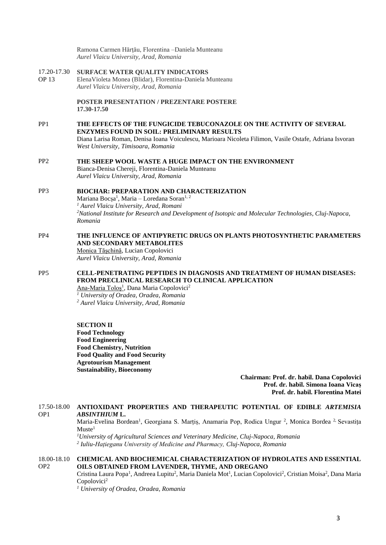Ramona Carmen Hărţău, Florentina –Daniela Munteanu *Aurel Vlaicu University, Arad, Romania*

17.20-17.30 OP 13 **SURFACE WATER QUALITY INDICATORS** ElenaVioleta Monea (Blidar), Florentina-Daniela Munteanu *Aurel Vlaicu University, Arad, Romania*

> **POSTER PRESENTATION / PREZENTARE POSTERE 17.30-17.50**

PP1 **THE EFFECTS OF THE FUNGICIDE TEBUCONAZOLE ON THE ACTIVITY OF SEVERAL ENZYMES FOUND IN SOIL: PRELIMINARY RESULTS** Diana Larisa Roman, Denisa Ioana Voiculescu, Marioara Nicoleta Filimon, Vasile Ostafe, Adriana Isvoran *West University, Timisoara, Romania*

#### PP2 **THE SHEEP WOOL WASTE A HUGE IMPACT ON THE ENVIRONMENT** Bianca-Denisa Chereji, Florentina-Daniela Munteanu *Aurel Vlaicu University, Arad, Romania*

#### PP3 **BIOCHAR: PREPARATION AND CHARACTERIZATION**  Mariana Bocșa<sup>1</sup>, Maria – Loredana Soran<sup>1, 2</sup> *<sup>1</sup> Aurel Vlaicu University, Arad, Romani <sup>2</sup>National Institute for Research and Development of Isotopic and Molecular Technologies, Cluj-Napoca, Romania*

#### PP4 **THE INFLUENCE OF ANTIPYRETIC DRUGS ON PLANTS PHOTOSYNTHETIC PARAMETERS AND SECONDARY METABOLITES** Monica Tăşchină, Lucian Copolovici

*Aurel Vlaicu University, Arad, Romania*

#### PP5 **CELL-PENETRATING PEPTIDES IN DIAGNOSIS AND TREATMENT OF HUMAN DISEASES: FROM PRECLINICAL RESEARCH TO CLINICAL APPLICATION** Ana-Maria Toloș<sup>1</sup>, Dana Maria Copolovici<sup>2</sup>

*<sup>1</sup> University of Oradea, Oradea, Romania <sup>2</sup> Aurel Vlaicu University, Arad, Romania*

#### **SECTION II**

**Food Technology Food Engineering Food Chemistry, Nutrition Food Quality and Food Security Agrotourism Management Sustainability, Bioeconomy**

> **Chairman: Prof. dr. habil. Dana Copolovici Prof. dr. habil. Simona Ioana Vicaș Prof. dr. habil. Florentina Matei**

#### 17.50-18.00 OP1 **ANTIOXIDANT PROPERTIES AND THERAPEUTIC POTENTIAL OF EDIBLE** *ARTEMISIA ABSINTHIUM* **L.**

Maria-Evelina Bordean<sup>1</sup>, Georgiana S. Marțiș, Anamaria Pop, Rodica Ungur<sup>2</sup>, Monica Bordea<sup>2</sup> Sevastița  $Muste<sup>1</sup>$ 

*<sup>1</sup>University of Agricultural Sciences and Veterinary Medicine, Cluj-Napoca, Romania 2 Iuliu-Hațieganu University of Medicine and Pharmacy, Cluj-Napoca, Romania*

#### 18.00-18.10 OP2 **CHEMICAL AND BIOCHEMICAL CHARACTERIZATION OF HYDROLATES AND ESSENTIAL OILS OBTAINED FROM LAVENDER, THYME, AND OREGANO**

Cristina Laura Popa<sup>1</sup>, Andreea Lupitu<sup>2</sup>, Maria Daniela Mot<sup>1</sup>, Lucian Copolovici<sup>2</sup>, Cristian Moisa<sup>2</sup>, Dana Maria Copolovici<sup>2</sup>

*<sup>1</sup> University of Oradea, Oradea, Romania*